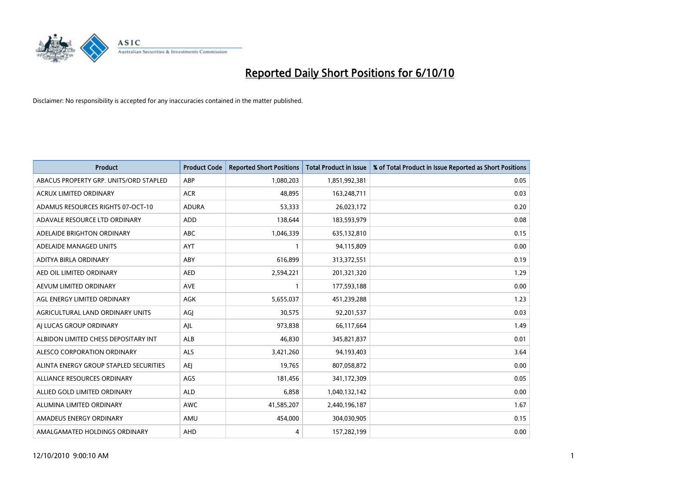

| <b>Product</b>                         | <b>Product Code</b> | <b>Reported Short Positions</b> | Total Product in Issue | % of Total Product in Issue Reported as Short Positions |
|----------------------------------------|---------------------|---------------------------------|------------------------|---------------------------------------------------------|
| ABACUS PROPERTY GRP. UNITS/ORD STAPLED | ABP                 | 1,080,203                       | 1,851,992,381          | 0.05                                                    |
| ACRUX LIMITED ORDINARY                 | <b>ACR</b>          | 48,895                          | 163,248,711            | 0.03                                                    |
| ADAMUS RESOURCES RIGHTS 07-OCT-10      | <b>ADURA</b>        | 53,333                          | 26,023,172             | 0.20                                                    |
| ADAVALE RESOURCE LTD ORDINARY          | <b>ADD</b>          | 138,644                         | 183,593,979            | 0.08                                                    |
| ADELAIDE BRIGHTON ORDINARY             | <b>ABC</b>          | 1,046,339                       | 635,132,810            | 0.15                                                    |
| ADELAIDE MANAGED UNITS                 | <b>AYT</b>          |                                 | 94,115,809             | 0.00                                                    |
| ADITYA BIRLA ORDINARY                  | ABY                 | 616.899                         | 313,372,551            | 0.19                                                    |
| AED OIL LIMITED ORDINARY               | <b>AED</b>          | 2,594,221                       | 201,321,320            | 1.29                                                    |
| AEVUM LIMITED ORDINARY                 | <b>AVE</b>          |                                 | 177,593,188            | 0.00                                                    |
| AGL ENERGY LIMITED ORDINARY            | <b>AGK</b>          | 5,655,037                       | 451,239,288            | 1.23                                                    |
| AGRICULTURAL LAND ORDINARY UNITS       | AGJ                 | 30,575                          | 92,201,537             | 0.03                                                    |
| AI LUCAS GROUP ORDINARY                | AJL                 | 973,838                         | 66,117,664             | 1.49                                                    |
| ALBIDON LIMITED CHESS DEPOSITARY INT   | ALB                 | 46,830                          | 345,821,837            | 0.01                                                    |
| ALESCO CORPORATION ORDINARY            | ALS                 | 3,421,260                       | 94,193,403             | 3.64                                                    |
| ALINTA ENERGY GROUP STAPLED SECURITIES | <b>AEI</b>          | 19,765                          | 807,058,872            | 0.00                                                    |
| ALLIANCE RESOURCES ORDINARY            | AGS                 | 181,456                         | 341,172,309            | 0.05                                                    |
| ALLIED GOLD LIMITED ORDINARY           | <b>ALD</b>          | 6,858                           | 1,040,132,142          | 0.00                                                    |
| ALUMINA LIMITED ORDINARY               | <b>AWC</b>          | 41,585,207                      | 2,440,196,187          | 1.67                                                    |
| AMADEUS ENERGY ORDINARY                | AMU                 | 454,000                         | 304,030,905            | 0.15                                                    |
| AMALGAMATED HOLDINGS ORDINARY          | AHD                 | 4                               | 157,282,199            | 0.00                                                    |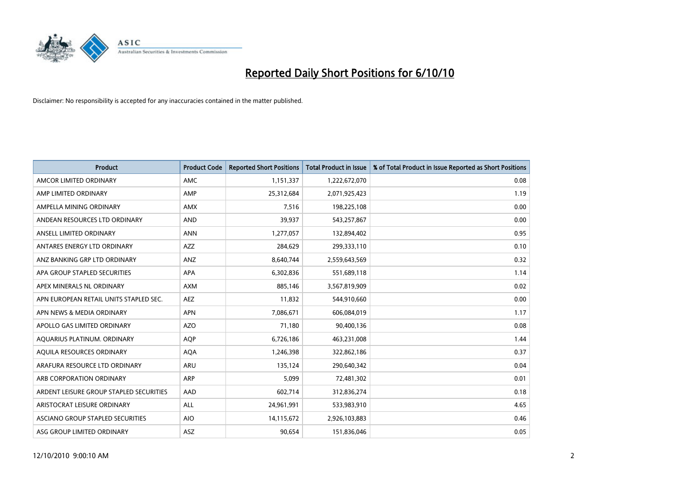

| <b>Product</b>                          | <b>Product Code</b> | <b>Reported Short Positions</b> | Total Product in Issue | % of Total Product in Issue Reported as Short Positions |
|-----------------------------------------|---------------------|---------------------------------|------------------------|---------------------------------------------------------|
| AMCOR LIMITED ORDINARY                  | <b>AMC</b>          | 1,151,337                       | 1,222,672,070          | 0.08                                                    |
| AMP LIMITED ORDINARY                    | AMP                 | 25,312,684                      | 2,071,925,423          | 1.19                                                    |
| AMPELLA MINING ORDINARY                 | <b>AMX</b>          | 7,516                           | 198,225,108            | 0.00                                                    |
| ANDEAN RESOURCES LTD ORDINARY           | <b>AND</b>          | 39,937                          | 543,257,867            | 0.00                                                    |
| ANSELL LIMITED ORDINARY                 | <b>ANN</b>          | 1,277,057                       | 132,894,402            | 0.95                                                    |
| ANTARES ENERGY LTD ORDINARY             | <b>AZZ</b>          | 284,629                         | 299,333,110            | 0.10                                                    |
| ANZ BANKING GRP LTD ORDINARY            | ANZ                 | 8,640,744                       | 2,559,643,569          | 0.32                                                    |
| APA GROUP STAPLED SECURITIES            | <b>APA</b>          | 6,302,836                       | 551,689,118            | 1.14                                                    |
| APEX MINERALS NL ORDINARY               | <b>AXM</b>          | 885,146                         | 3,567,819,909          | 0.02                                                    |
| APN EUROPEAN RETAIL UNITS STAPLED SEC.  | <b>AEZ</b>          | 11,832                          | 544,910,660            | 0.00                                                    |
| APN NEWS & MEDIA ORDINARY               | <b>APN</b>          | 7,086,671                       | 606,084,019            | 1.17                                                    |
| APOLLO GAS LIMITED ORDINARY             | <b>AZO</b>          | 71,180                          | 90,400,136             | 0.08                                                    |
| AQUARIUS PLATINUM. ORDINARY             | <b>AOP</b>          | 6,726,186                       | 463,231,008            | 1.44                                                    |
| AQUILA RESOURCES ORDINARY               | <b>AQA</b>          | 1,246,398                       | 322,862,186            | 0.37                                                    |
| ARAFURA RESOURCE LTD ORDINARY           | <b>ARU</b>          | 135,124                         | 290,640,342            | 0.04                                                    |
| ARB CORPORATION ORDINARY                | ARP                 | 5,099                           | 72,481,302             | 0.01                                                    |
| ARDENT LEISURE GROUP STAPLED SECURITIES | AAD                 | 602,714                         | 312,836,274            | 0.18                                                    |
| ARISTOCRAT LEISURE ORDINARY             | <b>ALL</b>          | 24,961,991                      | 533,983,910            | 4.65                                                    |
| ASCIANO GROUP STAPLED SECURITIES        | <b>AIO</b>          | 14,115,672                      | 2,926,103,883          | 0.46                                                    |
| ASG GROUP LIMITED ORDINARY              | <b>ASZ</b>          | 90.654                          | 151,836,046            | 0.05                                                    |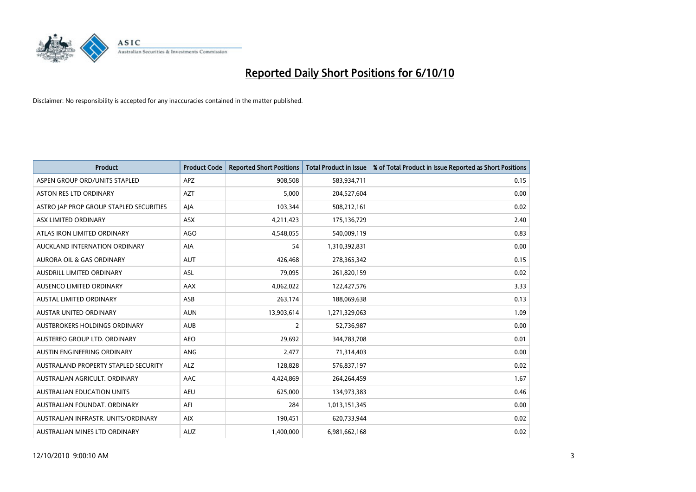

| <b>Product</b>                          | <b>Product Code</b> | <b>Reported Short Positions</b> | Total Product in Issue | % of Total Product in Issue Reported as Short Positions |
|-----------------------------------------|---------------------|---------------------------------|------------------------|---------------------------------------------------------|
| ASPEN GROUP ORD/UNITS STAPLED           | <b>APZ</b>          | 908,508                         | 583,934,711            | 0.15                                                    |
| <b>ASTON RES LTD ORDINARY</b>           | <b>AZT</b>          | 5,000                           | 204,527,604            | 0.00                                                    |
| ASTRO JAP PROP GROUP STAPLED SECURITIES | AJA                 | 103,344                         | 508,212,161            | 0.02                                                    |
| ASX LIMITED ORDINARY                    | ASX                 | 4,211,423                       | 175,136,729            | 2.40                                                    |
| ATLAS IRON LIMITED ORDINARY             | <b>AGO</b>          | 4,548,055                       | 540,009,119            | 0.83                                                    |
| AUCKLAND INTERNATION ORDINARY           | <b>AIA</b>          | 54                              | 1,310,392,831          | 0.00                                                    |
| <b>AURORA OIL &amp; GAS ORDINARY</b>    | <b>AUT</b>          | 426.468                         | 278,365,342            | 0.15                                                    |
| AUSDRILL LIMITED ORDINARY               | <b>ASL</b>          | 79,095                          | 261,820,159            | 0.02                                                    |
| AUSENCO LIMITED ORDINARY                | AAX                 | 4,062,022                       | 122,427,576            | 3.33                                                    |
| <b>AUSTAL LIMITED ORDINARY</b>          | ASB                 | 263,174                         | 188,069,638            | 0.13                                                    |
| <b>AUSTAR UNITED ORDINARY</b>           | <b>AUN</b>          | 13,903,614                      | 1,271,329,063          | 1.09                                                    |
| AUSTBROKERS HOLDINGS ORDINARY           | <b>AUB</b>          | $\overline{2}$                  | 52,736,987             | 0.00                                                    |
| AUSTEREO GROUP LTD. ORDINARY            | <b>AEO</b>          | 29.692                          | 344,783,708            | 0.01                                                    |
| AUSTIN ENGINEERING ORDINARY             | ANG                 | 2.477                           | 71,314,403             | 0.00                                                    |
| AUSTRALAND PROPERTY STAPLED SECURITY    | <b>ALZ</b>          | 128,828                         | 576,837,197            | 0.02                                                    |
| AUSTRALIAN AGRICULT, ORDINARY           | <b>AAC</b>          | 4,424,869                       | 264,264,459            | 1.67                                                    |
| <b>AUSTRALIAN EDUCATION UNITS</b>       | <b>AEU</b>          | 625,000                         | 134,973,383            | 0.46                                                    |
| AUSTRALIAN FOUNDAT. ORDINARY            | AFI                 | 284                             | 1,013,151,345          | 0.00                                                    |
| AUSTRALIAN INFRASTR. UNITS/ORDINARY     | <b>AIX</b>          | 190,451                         | 620,733,944            | 0.02                                                    |
| AUSTRALIAN MINES LTD ORDINARY           | <b>AUZ</b>          | 1,400,000                       | 6,981,662,168          | 0.02                                                    |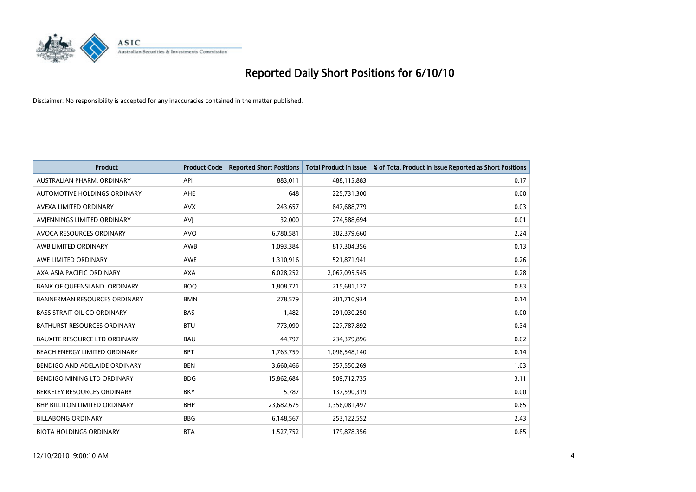

| <b>Product</b>                       | <b>Product Code</b> | <b>Reported Short Positions</b> | Total Product in Issue | % of Total Product in Issue Reported as Short Positions |
|--------------------------------------|---------------------|---------------------------------|------------------------|---------------------------------------------------------|
| AUSTRALIAN PHARM, ORDINARY           | API                 | 883,011                         | 488,115,883            | 0.17                                                    |
| AUTOMOTIVE HOLDINGS ORDINARY         | <b>AHE</b>          | 648                             | 225,731,300            | 0.00                                                    |
| <b>AVEXA LIMITED ORDINARY</b>        | <b>AVX</b>          | 243,657                         | 847,688,779            | 0.03                                                    |
| AVJENNINGS LIMITED ORDINARY          | AVJ                 | 32,000                          | 274,588,694            | 0.01                                                    |
| AVOCA RESOURCES ORDINARY             | <b>AVO</b>          | 6,780,581                       | 302,379,660            | 2.24                                                    |
| AWB LIMITED ORDINARY                 | AWB                 | 1,093,384                       | 817,304,356            | 0.13                                                    |
| AWE LIMITED ORDINARY                 | <b>AWE</b>          | 1,310,916                       | 521,871,941            | 0.26                                                    |
| AXA ASIA PACIFIC ORDINARY            | <b>AXA</b>          | 6,028,252                       | 2,067,095,545          | 0.28                                                    |
| BANK OF QUEENSLAND. ORDINARY         | <b>BOO</b>          | 1,808,721                       | 215,681,127            | 0.83                                                    |
| <b>BANNERMAN RESOURCES ORDINARY</b>  | <b>BMN</b>          | 278,579                         | 201,710,934            | 0.14                                                    |
| <b>BASS STRAIT OIL CO ORDINARY</b>   | <b>BAS</b>          | 1,482                           | 291,030,250            | 0.00                                                    |
| <b>BATHURST RESOURCES ORDINARY</b>   | <b>BTU</b>          | 773,090                         | 227,787,892            | 0.34                                                    |
| <b>BAUXITE RESOURCE LTD ORDINARY</b> | <b>BAU</b>          | 44,797                          | 234,379,896            | 0.02                                                    |
| <b>BEACH ENERGY LIMITED ORDINARY</b> | <b>BPT</b>          | 1,763,759                       | 1,098,548,140          | 0.14                                                    |
| BENDIGO AND ADELAIDE ORDINARY        | <b>BEN</b>          | 3,660,466                       | 357,550,269            | 1.03                                                    |
| BENDIGO MINING LTD ORDINARY          | <b>BDG</b>          | 15,862,684                      | 509,712,735            | 3.11                                                    |
| BERKELEY RESOURCES ORDINARY          | <b>BKY</b>          | 5,787                           | 137,590,319            | 0.00                                                    |
| BHP BILLITON LIMITED ORDINARY        | <b>BHP</b>          | 23,682,675                      | 3,356,081,497          | 0.65                                                    |
| <b>BILLABONG ORDINARY</b>            | <b>BBG</b>          | 6,148,567                       | 253,122,552            | 2.43                                                    |
| <b>BIOTA HOLDINGS ORDINARY</b>       | <b>BTA</b>          | 1,527,752                       | 179,878,356            | 0.85                                                    |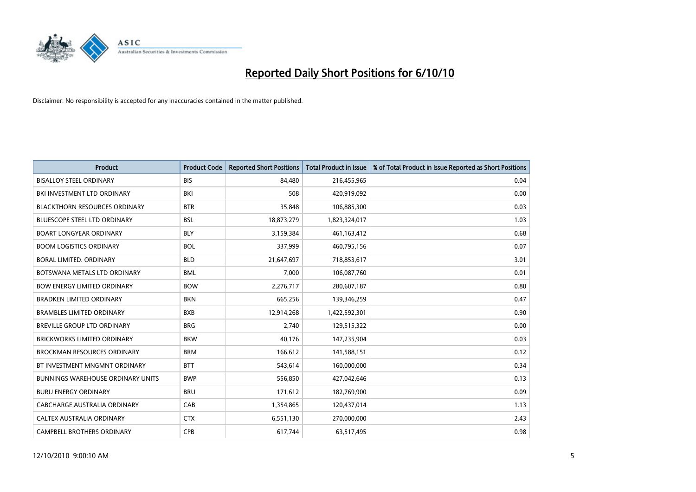

| <b>Product</b>                       | <b>Product Code</b> | <b>Reported Short Positions</b> | <b>Total Product in Issue</b> | % of Total Product in Issue Reported as Short Positions |
|--------------------------------------|---------------------|---------------------------------|-------------------------------|---------------------------------------------------------|
| <b>BISALLOY STEEL ORDINARY</b>       | <b>BIS</b>          | 84,480                          | 216,455,965                   | 0.04                                                    |
| BKI INVESTMENT LTD ORDINARY          | <b>BKI</b>          | 508                             | 420,919,092                   | 0.00                                                    |
| <b>BLACKTHORN RESOURCES ORDINARY</b> | <b>BTR</b>          | 35,848                          | 106,885,300                   | 0.03                                                    |
| <b>BLUESCOPE STEEL LTD ORDINARY</b>  | <b>BSL</b>          | 18,873,279                      | 1,823,324,017                 | 1.03                                                    |
| <b>BOART LONGYEAR ORDINARY</b>       | <b>BLY</b>          | 3,159,384                       | 461,163,412                   | 0.68                                                    |
| <b>BOOM LOGISTICS ORDINARY</b>       | <b>BOL</b>          | 337,999                         | 460,795,156                   | 0.07                                                    |
| <b>BORAL LIMITED, ORDINARY</b>       | <b>BLD</b>          | 21,647,697                      | 718,853,617                   | 3.01                                                    |
| BOTSWANA METALS LTD ORDINARY         | <b>BML</b>          | 7,000                           | 106,087,760                   | 0.01                                                    |
| <b>BOW ENERGY LIMITED ORDINARY</b>   | <b>BOW</b>          | 2,276,717                       | 280,607,187                   | 0.80                                                    |
| <b>BRADKEN LIMITED ORDINARY</b>      | <b>BKN</b>          | 665,256                         | 139,346,259                   | 0.47                                                    |
| <b>BRAMBLES LIMITED ORDINARY</b>     | <b>BXB</b>          | 12,914,268                      | 1,422,592,301                 | 0.90                                                    |
| <b>BREVILLE GROUP LTD ORDINARY</b>   | <b>BRG</b>          | 2.740                           | 129,515,322                   | 0.00                                                    |
| <b>BRICKWORKS LIMITED ORDINARY</b>   | <b>BKW</b>          | 40,176                          | 147,235,904                   | 0.03                                                    |
| <b>BROCKMAN RESOURCES ORDINARY</b>   | <b>BRM</b>          | 166,612                         | 141,588,151                   | 0.12                                                    |
| BT INVESTMENT MNGMNT ORDINARY        | <b>BTT</b>          | 543,614                         | 160,000,000                   | 0.34                                                    |
| BUNNINGS WAREHOUSE ORDINARY UNITS    | <b>BWP</b>          | 556,850                         | 427,042,646                   | 0.13                                                    |
| <b>BURU ENERGY ORDINARY</b>          | <b>BRU</b>          | 171,612                         | 182,769,900                   | 0.09                                                    |
| CABCHARGE AUSTRALIA ORDINARY         | CAB                 | 1,354,865                       | 120,437,014                   | 1.13                                                    |
| CALTEX AUSTRALIA ORDINARY            | <b>CTX</b>          | 6,551,130                       | 270,000,000                   | 2.43                                                    |
| <b>CAMPBELL BROTHERS ORDINARY</b>    | <b>CPB</b>          | 617,744                         | 63,517,495                    | 0.98                                                    |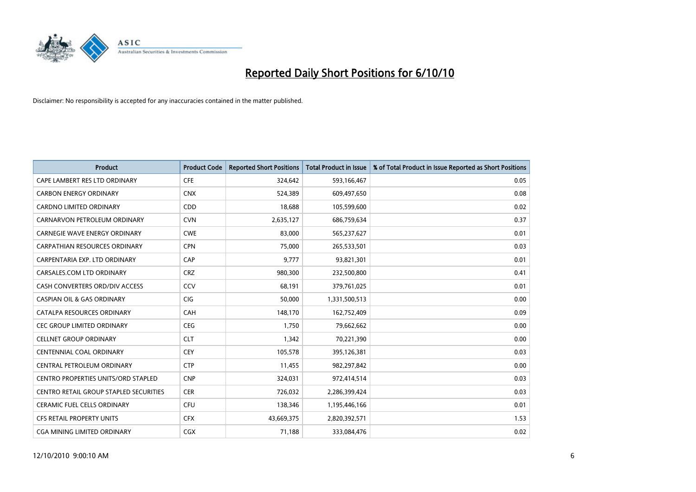

| <b>Product</b>                         | <b>Product Code</b> | <b>Reported Short Positions</b> | <b>Total Product in Issue</b> | % of Total Product in Issue Reported as Short Positions |
|----------------------------------------|---------------------|---------------------------------|-------------------------------|---------------------------------------------------------|
| CAPE LAMBERT RES LTD ORDINARY          | <b>CFE</b>          | 324,642                         | 593,166,467                   | 0.05                                                    |
| <b>CARBON ENERGY ORDINARY</b>          | <b>CNX</b>          | 524,389                         | 609,497,650                   | 0.08                                                    |
| <b>CARDNO LIMITED ORDINARY</b>         | <b>CDD</b>          | 18,688                          | 105,599,600                   | 0.02                                                    |
| CARNARVON PETROLEUM ORDINARY           | <b>CVN</b>          | 2,635,127                       | 686,759,634                   | 0.37                                                    |
| <b>CARNEGIE WAVE ENERGY ORDINARY</b>   | <b>CWE</b>          | 83,000                          | 565,237,627                   | 0.01                                                    |
| <b>CARPATHIAN RESOURCES ORDINARY</b>   | <b>CPN</b>          | 75,000                          | 265,533,501                   | 0.03                                                    |
| CARPENTARIA EXP. LTD ORDINARY          | CAP                 | 9.777                           | 93,821,301                    | 0.01                                                    |
| CARSALES.COM LTD ORDINARY              | <b>CRZ</b>          | 980,300                         | 232,500,800                   | 0.41                                                    |
| CASH CONVERTERS ORD/DIV ACCESS         | CCV                 | 68,191                          | 379,761,025                   | 0.01                                                    |
| <b>CASPIAN OIL &amp; GAS ORDINARY</b>  | <b>CIG</b>          | 50,000                          | 1,331,500,513                 | 0.00                                                    |
| CATALPA RESOURCES ORDINARY             | <b>CAH</b>          | 148,170                         | 162,752,409                   | 0.09                                                    |
| <b>CEC GROUP LIMITED ORDINARY</b>      | <b>CEG</b>          | 1,750                           | 79,662,662                    | 0.00                                                    |
| <b>CELLNET GROUP ORDINARY</b>          | <b>CLT</b>          | 1,342                           | 70,221,390                    | 0.00                                                    |
| <b>CENTENNIAL COAL ORDINARY</b>        | <b>CEY</b>          | 105,578                         | 395,126,381                   | 0.03                                                    |
| CENTRAL PETROLEUM ORDINARY             | <b>CTP</b>          | 11,455                          | 982,297,842                   | 0.00                                                    |
| CENTRO PROPERTIES UNITS/ORD STAPLED    | <b>CNP</b>          | 324,031                         | 972,414,514                   | 0.03                                                    |
| CENTRO RETAIL GROUP STAPLED SECURITIES | <b>CER</b>          | 726,032                         | 2,286,399,424                 | 0.03                                                    |
| CERAMIC FUEL CELLS ORDINARY            | <b>CFU</b>          | 138,346                         | 1,195,446,166                 | 0.01                                                    |
| <b>CFS RETAIL PROPERTY UNITS</b>       | <b>CFX</b>          | 43,669,375                      | 2,820,392,571                 | 1.53                                                    |
| <b>CGA MINING LIMITED ORDINARY</b>     | <b>CGX</b>          | 71.188                          | 333,084,476                   | 0.02                                                    |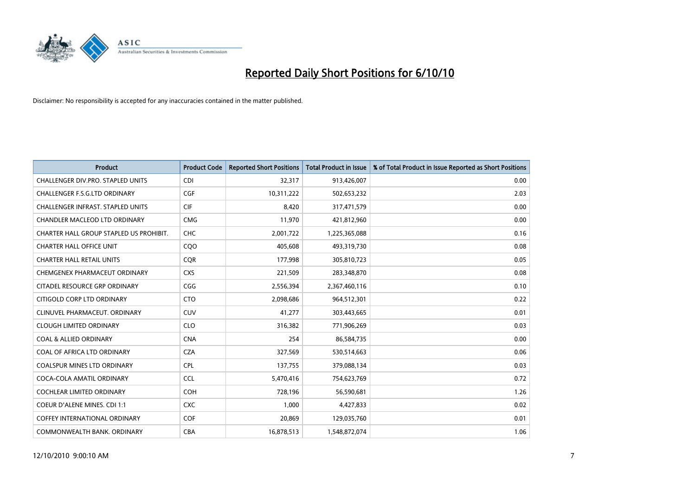

| <b>Product</b>                          | <b>Product Code</b> | <b>Reported Short Positions</b> | Total Product in Issue | % of Total Product in Issue Reported as Short Positions |
|-----------------------------------------|---------------------|---------------------------------|------------------------|---------------------------------------------------------|
| CHALLENGER DIV.PRO. STAPLED UNITS       | <b>CDI</b>          | 32,317                          | 913,426,007            | 0.00                                                    |
| CHALLENGER F.S.G.LTD ORDINARY           | CGF                 | 10,311,222                      | 502,653,232            | 2.03                                                    |
| CHALLENGER INFRAST. STAPLED UNITS       | <b>CIF</b>          | 8,420                           | 317,471,579            | 0.00                                                    |
| CHANDLER MACLEOD LTD ORDINARY           | <b>CMG</b>          | 11,970                          | 421,812,960            | 0.00                                                    |
| CHARTER HALL GROUP STAPLED US PROHIBIT. | <b>CHC</b>          | 2,001,722                       | 1,225,365,088          | 0.16                                                    |
| <b>CHARTER HALL OFFICE UNIT</b>         | COO                 | 405,608                         | 493,319,730            | 0.08                                                    |
| <b>CHARTER HALL RETAIL UNITS</b>        | <b>COR</b>          | 177,998                         | 305,810,723            | 0.05                                                    |
| CHEMGENEX PHARMACEUT ORDINARY           | <b>CXS</b>          | 221,509                         | 283,348,870            | 0.08                                                    |
| CITADEL RESOURCE GRP ORDINARY           | CGG                 | 2,556,394                       | 2,367,460,116          | 0.10                                                    |
| CITIGOLD CORP LTD ORDINARY              | <b>CTO</b>          | 2,098,686                       | 964,512,301            | 0.22                                                    |
| CLINUVEL PHARMACEUT. ORDINARY           | <b>CUV</b>          | 41,277                          | 303,443,665            | 0.01                                                    |
| <b>CLOUGH LIMITED ORDINARY</b>          | <b>CLO</b>          | 316,382                         | 771,906,269            | 0.03                                                    |
| <b>COAL &amp; ALLIED ORDINARY</b>       | <b>CNA</b>          | 254                             | 86,584,735             | 0.00                                                    |
| COAL OF AFRICA LTD ORDINARY             | <b>CZA</b>          | 327,569                         | 530,514,663            | 0.06                                                    |
| <b>COALSPUR MINES LTD ORDINARY</b>      | CPL                 | 137,755                         | 379,088,134            | 0.03                                                    |
| COCA-COLA AMATIL ORDINARY               | <b>CCL</b>          | 5,470,416                       | 754,623,769            | 0.72                                                    |
| <b>COCHLEAR LIMITED ORDINARY</b>        | <b>COH</b>          | 728,196                         | 56,590,681             | 1.26                                                    |
| COEUR D'ALENE MINES. CDI 1:1            | <b>CXC</b>          | 1,000                           | 4,427,833              | 0.02                                                    |
| <b>COFFEY INTERNATIONAL ORDINARY</b>    | COF                 | 20,869                          | 129,035,760            | 0.01                                                    |
| COMMONWEALTH BANK, ORDINARY             | <b>CBA</b>          | 16,878,513                      | 1,548,872,074          | 1.06                                                    |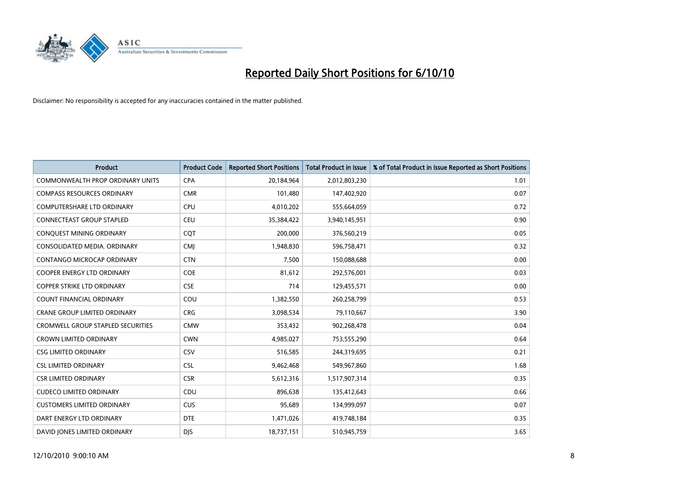

| <b>Product</b>                           | <b>Product Code</b> | <b>Reported Short Positions</b> | Total Product in Issue | % of Total Product in Issue Reported as Short Positions |
|------------------------------------------|---------------------|---------------------------------|------------------------|---------------------------------------------------------|
| <b>COMMONWEALTH PROP ORDINARY UNITS</b>  | <b>CPA</b>          | 20,184,964                      | 2,012,803,230          | 1.01                                                    |
| <b>COMPASS RESOURCES ORDINARY</b>        | <b>CMR</b>          | 101,480                         | 147,402,920            | 0.07                                                    |
| <b>COMPUTERSHARE LTD ORDINARY</b>        | <b>CPU</b>          | 4,010,202                       | 555,664,059            | 0.72                                                    |
| CONNECTEAST GROUP STAPLED                | <b>CEU</b>          | 35,384,422                      | 3,940,145,951          | 0.90                                                    |
| CONQUEST MINING ORDINARY                 | COT                 | 200.000                         | 376,560,219            | 0.05                                                    |
| CONSOLIDATED MEDIA, ORDINARY             | CMJ                 | 1,948,830                       | 596,758,471            | 0.32                                                    |
| <b>CONTANGO MICROCAP ORDINARY</b>        | <b>CTN</b>          | 7,500                           | 150,088,688            | 0.00                                                    |
| <b>COOPER ENERGY LTD ORDINARY</b>        | <b>COE</b>          | 81,612                          | 292,576,001            | 0.03                                                    |
| COPPER STRIKE LTD ORDINARY               | <b>CSE</b>          | 714                             | 129,455,571            | 0.00                                                    |
| <b>COUNT FINANCIAL ORDINARY</b>          | COU                 | 1,382,550                       | 260,258,799            | 0.53                                                    |
| <b>CRANE GROUP LIMITED ORDINARY</b>      | <b>CRG</b>          | 3,098,534                       | 79,110,667             | 3.90                                                    |
| <b>CROMWELL GROUP STAPLED SECURITIES</b> | <b>CMW</b>          | 353,432                         | 902,268,478            | 0.04                                                    |
| <b>CROWN LIMITED ORDINARY</b>            | <b>CWN</b>          | 4.985.027                       | 753,555,290            | 0.64                                                    |
| <b>CSG LIMITED ORDINARY</b>              | CSV                 | 516,585                         | 244,319,695            | 0.21                                                    |
| <b>CSL LIMITED ORDINARY</b>              | <b>CSL</b>          | 9,462,468                       | 549,967,860            | 1.68                                                    |
| <b>CSR LIMITED ORDINARY</b>              | <b>CSR</b>          | 5,612,316                       | 1,517,907,314          | 0.35                                                    |
| <b>CUDECO LIMITED ORDINARY</b>           | CDU                 | 896,638                         | 135,412,643            | 0.66                                                    |
| <b>CUSTOMERS LIMITED ORDINARY</b>        | <b>CUS</b>          | 95,689                          | 134,999,097            | 0.07                                                    |
| DART ENERGY LTD ORDINARY                 | <b>DTE</b>          | 1,471,026                       | 419,748,184            | 0.35                                                    |
| DAVID JONES LIMITED ORDINARY             | <b>DIS</b>          | 18,737,151                      | 510,945,759            | 3.65                                                    |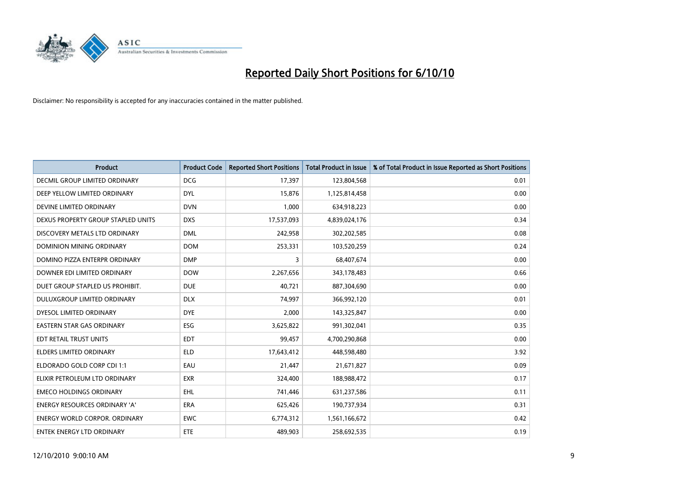

| <b>Product</b>                       | <b>Product Code</b> | <b>Reported Short Positions</b> | <b>Total Product in Issue</b> | % of Total Product in Issue Reported as Short Positions |
|--------------------------------------|---------------------|---------------------------------|-------------------------------|---------------------------------------------------------|
| DECMIL GROUP LIMITED ORDINARY        | <b>DCG</b>          | 17,397                          | 123,804,568                   | 0.01                                                    |
| DEEP YELLOW LIMITED ORDINARY         | <b>DYL</b>          | 15,876                          | 1,125,814,458                 | 0.00                                                    |
| DEVINE LIMITED ORDINARY              | <b>DVN</b>          | 1,000                           | 634,918,223                   | 0.00                                                    |
| DEXUS PROPERTY GROUP STAPLED UNITS   | <b>DXS</b>          | 17,537,093                      | 4,839,024,176                 | 0.34                                                    |
| DISCOVERY METALS LTD ORDINARY        | <b>DML</b>          | 242,958                         | 302,202,585                   | 0.08                                                    |
| <b>DOMINION MINING ORDINARY</b>      | <b>DOM</b>          | 253,331                         | 103,520,259                   | 0.24                                                    |
| DOMINO PIZZA ENTERPR ORDINARY        | <b>DMP</b>          | 3                               | 68,407,674                    | 0.00                                                    |
| DOWNER EDI LIMITED ORDINARY          | <b>DOW</b>          | 2,267,656                       | 343,178,483                   | 0.66                                                    |
| DUET GROUP STAPLED US PROHIBIT.      | <b>DUE</b>          | 40,721                          | 887,304,690                   | 0.00                                                    |
| DULUXGROUP LIMITED ORDINARY          | <b>DLX</b>          | 74,997                          | 366,992,120                   | 0.01                                                    |
| DYESOL LIMITED ORDINARY              | <b>DYE</b>          | 2,000                           | 143,325,847                   | 0.00                                                    |
| <b>EASTERN STAR GAS ORDINARY</b>     | ESG                 | 3,625,822                       | 991,302,041                   | 0.35                                                    |
| EDT RETAIL TRUST UNITS               | <b>EDT</b>          | 99,457                          | 4,700,290,868                 | 0.00                                                    |
| <b>ELDERS LIMITED ORDINARY</b>       | <b>ELD</b>          | 17,643,412                      | 448,598,480                   | 3.92                                                    |
| ELDORADO GOLD CORP CDI 1:1           | EAU                 | 21,447                          | 21,671,827                    | 0.09                                                    |
| ELIXIR PETROLEUM LTD ORDINARY        | <b>EXR</b>          | 324,400                         | 188,988,472                   | 0.17                                                    |
| <b>EMECO HOLDINGS ORDINARY</b>       | <b>EHL</b>          | 741,446                         | 631,237,586                   | 0.11                                                    |
| ENERGY RESOURCES ORDINARY 'A'        | <b>ERA</b>          | 625,426                         | 190,737,934                   | 0.31                                                    |
| <b>ENERGY WORLD CORPOR, ORDINARY</b> | <b>EWC</b>          | 6,774,312                       | 1,561,166,672                 | 0.42                                                    |
| ENTEK ENERGY LTD ORDINARY            | <b>ETE</b>          | 489,903                         | 258,692,535                   | 0.19                                                    |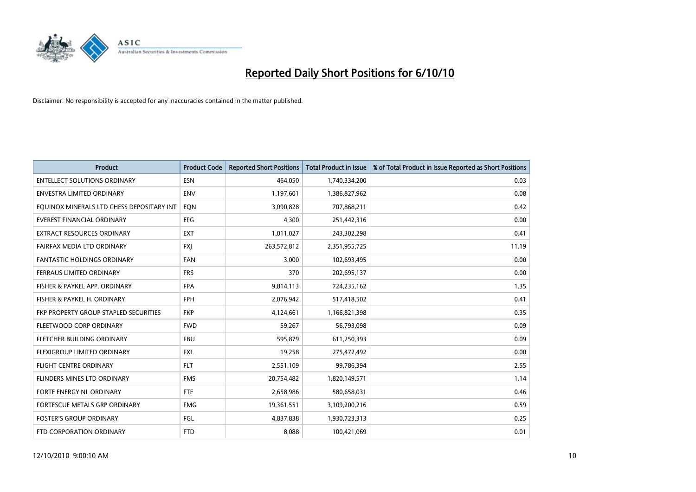

| <b>Product</b>                            | <b>Product Code</b> | <b>Reported Short Positions</b> | <b>Total Product in Issue</b> | % of Total Product in Issue Reported as Short Positions |
|-------------------------------------------|---------------------|---------------------------------|-------------------------------|---------------------------------------------------------|
| <b>ENTELLECT SOLUTIONS ORDINARY</b>       | <b>ESN</b>          | 464,050                         | 1,740,334,200                 | 0.03                                                    |
| ENVESTRA LIMITED ORDINARY                 | <b>ENV</b>          | 1,197,601                       | 1,386,827,962                 | 0.08                                                    |
| EQUINOX MINERALS LTD CHESS DEPOSITARY INT | EON                 | 3,090,828                       | 707,868,211                   | 0.42                                                    |
| <b>EVEREST FINANCIAL ORDINARY</b>         | <b>EFG</b>          | 4,300                           | 251,442,316                   | 0.00                                                    |
| <b>EXTRACT RESOURCES ORDINARY</b>         | <b>EXT</b>          | 1,011,027                       | 243,302,298                   | 0.41                                                    |
| FAIRFAX MEDIA LTD ORDINARY                | <b>FXJ</b>          | 263,572,812                     | 2,351,955,725                 | 11.19                                                   |
| FANTASTIC HOLDINGS ORDINARY               | <b>FAN</b>          | 3,000                           | 102,693,495                   | 0.00                                                    |
| FERRAUS LIMITED ORDINARY                  | <b>FRS</b>          | 370                             | 202,695,137                   | 0.00                                                    |
| FISHER & PAYKEL APP. ORDINARY             | <b>FPA</b>          | 9,814,113                       | 724,235,162                   | 1.35                                                    |
| FISHER & PAYKEL H. ORDINARY               | <b>FPH</b>          | 2,076,942                       | 517,418,502                   | 0.41                                                    |
| FKP PROPERTY GROUP STAPLED SECURITIES     | <b>FKP</b>          | 4,124,661                       | 1,166,821,398                 | 0.35                                                    |
| FLEETWOOD CORP ORDINARY                   | <b>FWD</b>          | 59,267                          | 56,793,098                    | 0.09                                                    |
| FLETCHER BUILDING ORDINARY                | <b>FBU</b>          | 595,879                         | 611,250,393                   | 0.09                                                    |
| FLEXIGROUP LIMITED ORDINARY               | <b>FXL</b>          | 19,258                          | 275,472,492                   | 0.00                                                    |
| <b>FLIGHT CENTRE ORDINARY</b>             | <b>FLT</b>          | 2,551,109                       | 99,786,394                    | 2.55                                                    |
| FLINDERS MINES LTD ORDINARY               | <b>FMS</b>          | 20,754,482                      | 1,820,149,571                 | 1.14                                                    |
| FORTE ENERGY NL ORDINARY                  | <b>FTE</b>          | 2,658,986                       | 580,658,031                   | 0.46                                                    |
| FORTESCUE METALS GRP ORDINARY             | <b>FMG</b>          | 19,361,551                      | 3,109,200,216                 | 0.59                                                    |
| <b>FOSTER'S GROUP ORDINARY</b>            | FGL                 | 4,837,838                       | 1,930,723,313                 | 0.25                                                    |
| FTD CORPORATION ORDINARY                  | <b>FTD</b>          | 8,088                           | 100,421,069                   | 0.01                                                    |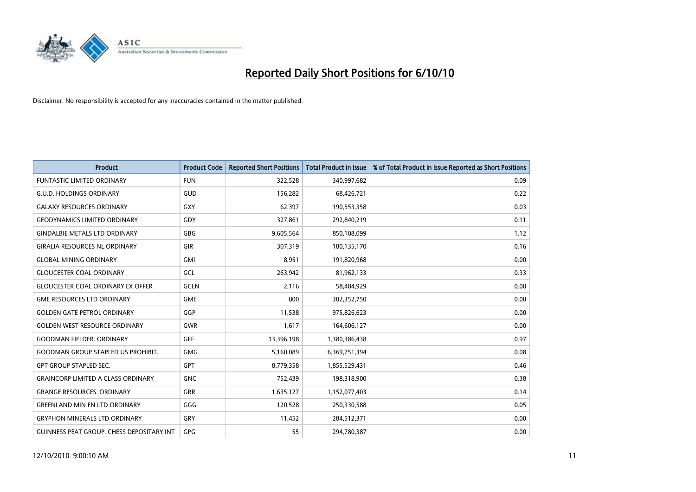

| <b>Product</b>                                   | <b>Product Code</b> | <b>Reported Short Positions</b> | <b>Total Product in Issue</b> | % of Total Product in Issue Reported as Short Positions |
|--------------------------------------------------|---------------------|---------------------------------|-------------------------------|---------------------------------------------------------|
| <b>FUNTASTIC LIMITED ORDINARY</b>                | <b>FUN</b>          | 322,528                         | 340,997,682                   | 0.09                                                    |
| <b>G.U.D. HOLDINGS ORDINARY</b>                  | GUD                 | 156,282                         | 68,426,721                    | 0.22                                                    |
| <b>GALAXY RESOURCES ORDINARY</b>                 | <b>GXY</b>          | 62.397                          | 190,553,358                   | 0.03                                                    |
| <b>GEODYNAMICS LIMITED ORDINARY</b>              | GDY                 | 327,861                         | 292,840,219                   | 0.11                                                    |
| <b>GINDALBIE METALS LTD ORDINARY</b>             | <b>GBG</b>          | 9,605,564                       | 850,108,099                   | 1.12                                                    |
| <b>GIRALIA RESOURCES NL ORDINARY</b>             | <b>GIR</b>          | 307,319                         | 180,135,170                   | 0.16                                                    |
| <b>GLOBAL MINING ORDINARY</b>                    | <b>GMI</b>          | 8.951                           | 191,820,968                   | 0.00                                                    |
| <b>GLOUCESTER COAL ORDINARY</b>                  | GCL                 | 263,942                         | 81,962,133                    | 0.33                                                    |
| <b>GLOUCESTER COAL ORDINARY EX OFFER</b>         | <b>GCLN</b>         | 2,116                           | 58,484,929                    | 0.00                                                    |
| <b>GME RESOURCES LTD ORDINARY</b>                | <b>GME</b>          | 800                             | 302,352,750                   | 0.00                                                    |
| <b>GOLDEN GATE PETROL ORDINARY</b>               | GGP                 | 11,538                          | 975,826,623                   | 0.00                                                    |
| <b>GOLDEN WEST RESOURCE ORDINARY</b>             | <b>GWR</b>          | 1.617                           | 164,606,127                   | 0.00                                                    |
| <b>GOODMAN FIELDER, ORDINARY</b>                 | <b>GFF</b>          | 13,396,198                      | 1,380,386,438                 | 0.97                                                    |
| <b>GOODMAN GROUP STAPLED US PROHIBIT.</b>        | <b>GMG</b>          | 5,160,089                       | 6,369,751,394                 | 0.08                                                    |
| <b>GPT GROUP STAPLED SEC.</b>                    | GPT                 | 8,779,358                       | 1,855,529,431                 | 0.46                                                    |
| <b>GRAINCORP LIMITED A CLASS ORDINARY</b>        | <b>GNC</b>          | 752,439                         | 198,318,900                   | 0.38                                                    |
| <b>GRANGE RESOURCES, ORDINARY</b>                | <b>GRR</b>          | 1,635,127                       | 1,152,077,403                 | 0.14                                                    |
| <b>GREENLAND MIN EN LTD ORDINARY</b>             | GGG                 | 120,528                         | 250,330,588                   | 0.05                                                    |
| <b>GRYPHON MINERALS LTD ORDINARY</b>             | GRY                 | 11,452                          | 284,512,371                   | 0.00                                                    |
| <b>GUINNESS PEAT GROUP. CHESS DEPOSITARY INT</b> | <b>GPG</b>          | 55                              | 294,780,387                   | 0.00                                                    |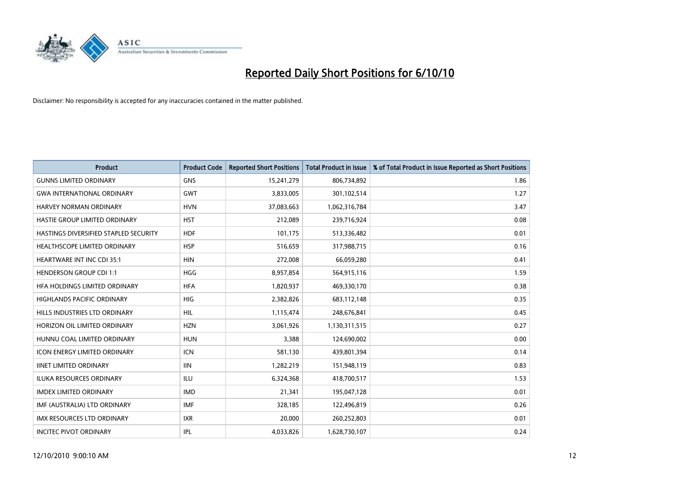

| <b>Product</b>                        | <b>Product Code</b> | <b>Reported Short Positions</b> | <b>Total Product in Issue</b> | % of Total Product in Issue Reported as Short Positions |
|---------------------------------------|---------------------|---------------------------------|-------------------------------|---------------------------------------------------------|
| <b>GUNNS LIMITED ORDINARY</b>         | <b>GNS</b>          | 15,241,279                      | 806,734,892                   | 1.86                                                    |
| <b>GWA INTERNATIONAL ORDINARY</b>     | <b>GWT</b>          | 3,833,005                       | 301,102,514                   | 1.27                                                    |
| <b>HARVEY NORMAN ORDINARY</b>         | <b>HVN</b>          | 37,083,663                      | 1,062,316,784                 | 3.47                                                    |
| <b>HASTIE GROUP LIMITED ORDINARY</b>  | <b>HST</b>          | 212,089                         | 239,716,924                   | 0.08                                                    |
| HASTINGS DIVERSIFIED STAPLED SECURITY | <b>HDF</b>          | 101,175                         | 513,336,482                   | 0.01                                                    |
| HEALTHSCOPE LIMITED ORDINARY          | <b>HSP</b>          | 516,659                         | 317,988,715                   | 0.16                                                    |
| HEARTWARE INT INC CDI 35:1            | <b>HIN</b>          | 272,008                         | 66,059,280                    | 0.41                                                    |
| <b>HENDERSON GROUP CDI 1:1</b>        | <b>HGG</b>          | 8,957,854                       | 564,915,116                   | 1.59                                                    |
| HFA HOLDINGS LIMITED ORDINARY         | <b>HFA</b>          | 1,820,937                       | 469,330,170                   | 0.38                                                    |
| <b>HIGHLANDS PACIFIC ORDINARY</b>     | <b>HIG</b>          | 2,382,826                       | 683,112,148                   | 0.35                                                    |
| HILLS INDUSTRIES LTD ORDINARY         | <b>HIL</b>          | 1,115,474                       | 248,676,841                   | 0.45                                                    |
| HORIZON OIL LIMITED ORDINARY          | <b>HZN</b>          | 3,061,926                       | 1,130,311,515                 | 0.27                                                    |
| HUNNU COAL LIMITED ORDINARY           | <b>HUN</b>          | 3,388                           | 124,690,002                   | 0.00                                                    |
| <b>ICON ENERGY LIMITED ORDINARY</b>   | <b>ICN</b>          | 581,130                         | 439,801,394                   | 0.14                                                    |
| <b>IINET LIMITED ORDINARY</b>         | <b>IIN</b>          | 1,282,219                       | 151,948,119                   | 0.83                                                    |
| <b>ILUKA RESOURCES ORDINARY</b>       | <b>ILU</b>          | 6,324,368                       | 418,700,517                   | 1.53                                                    |
| <b>IMDEX LIMITED ORDINARY</b>         | <b>IMD</b>          | 21,341                          | 195,047,128                   | 0.01                                                    |
| IMF (AUSTRALIA) LTD ORDINARY          | <b>IMF</b>          | 328,185                         | 122,496,819                   | 0.26                                                    |
| IMX RESOURCES LTD ORDINARY            | <b>IXR</b>          | 20,000                          | 260,252,803                   | 0.01                                                    |
| <b>INCITEC PIVOT ORDINARY</b>         | <b>IPL</b>          | 4,033,826                       | 1,628,730,107                 | 0.24                                                    |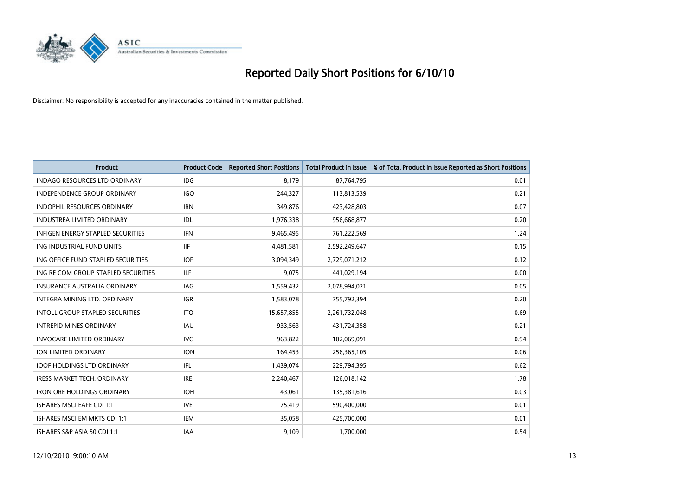

| <b>Product</b>                           | <b>Product Code</b> | <b>Reported Short Positions</b> | <b>Total Product in Issue</b> | % of Total Product in Issue Reported as Short Positions |
|------------------------------------------|---------------------|---------------------------------|-------------------------------|---------------------------------------------------------|
| <b>INDAGO RESOURCES LTD ORDINARY</b>     | IDG                 | 8.179                           | 87,764,795                    | 0.01                                                    |
| INDEPENDENCE GROUP ORDINARY              | <b>IGO</b>          | 244,327                         | 113,813,539                   | 0.21                                                    |
| <b>INDOPHIL RESOURCES ORDINARY</b>       | <b>IRN</b>          | 349,876                         | 423,428,803                   | 0.07                                                    |
| <b>INDUSTREA LIMITED ORDINARY</b>        | IDL                 | 1,976,338                       | 956,668,877                   | 0.20                                                    |
| <b>INFIGEN ENERGY STAPLED SECURITIES</b> | <b>IFN</b>          | 9,465,495                       | 761,222,569                   | 1.24                                                    |
| ING INDUSTRIAL FUND UNITS                | <b>IIF</b>          | 4,481,581                       | 2,592,249,647                 | 0.15                                                    |
| ING OFFICE FUND STAPLED SECURITIES       | <b>IOF</b>          | 3,094,349                       | 2,729,071,212                 | 0.12                                                    |
| ING RE COM GROUP STAPLED SECURITIES      | <b>ILF</b>          | 9,075                           | 441,029,194                   | 0.00                                                    |
| <b>INSURANCE AUSTRALIA ORDINARY</b>      | <b>IAG</b>          | 1,559,432                       | 2,078,994,021                 | 0.05                                                    |
| INTEGRA MINING LTD, ORDINARY             | <b>IGR</b>          | 1,583,078                       | 755,792,394                   | 0.20                                                    |
| INTOLL GROUP STAPLED SECURITIES          | <b>ITO</b>          | 15,657,855                      | 2,261,732,048                 | 0.69                                                    |
| <b>INTREPID MINES ORDINARY</b>           | <b>IAU</b>          | 933,563                         | 431,724,358                   | 0.21                                                    |
| <b>INVOCARE LIMITED ORDINARY</b>         | <b>IVC</b>          | 963,822                         | 102,069,091                   | 0.94                                                    |
| ION LIMITED ORDINARY                     | <b>ION</b>          | 164,453                         | 256,365,105                   | 0.06                                                    |
| <b>IOOF HOLDINGS LTD ORDINARY</b>        | IFL.                | 1,439,074                       | 229,794,395                   | 0.62                                                    |
| IRESS MARKET TECH. ORDINARY              | <b>IRE</b>          | 2,240,467                       | 126,018,142                   | 1.78                                                    |
| <b>IRON ORE HOLDINGS ORDINARY</b>        | <b>IOH</b>          | 43,061                          | 135,381,616                   | 0.03                                                    |
| <b>ISHARES MSCI EAFE CDI 1:1</b>         | <b>IVE</b>          | 75,419                          | 590,400,000                   | 0.01                                                    |
| ISHARES MSCI EM MKTS CDI 1:1             | <b>IEM</b>          | 35,058                          | 425,700,000                   | 0.01                                                    |
| ISHARES S&P ASIA 50 CDI 1:1              | IAA                 | 9,109                           | 1,700,000                     | 0.54                                                    |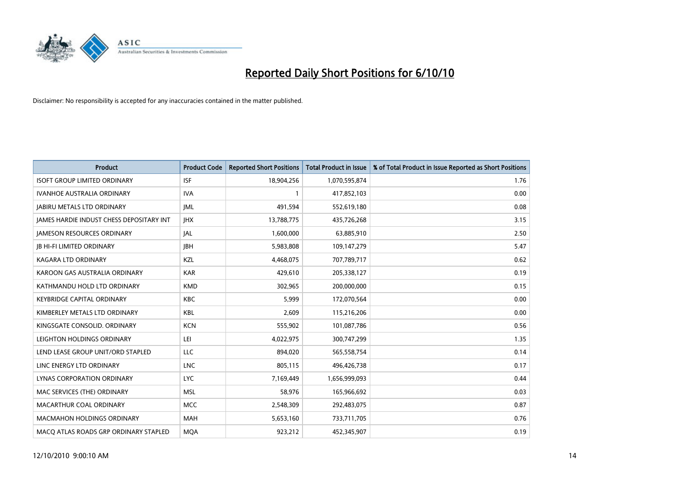

| <b>Product</b>                           | <b>Product Code</b> | <b>Reported Short Positions</b> | <b>Total Product in Issue</b> | % of Total Product in Issue Reported as Short Positions |
|------------------------------------------|---------------------|---------------------------------|-------------------------------|---------------------------------------------------------|
| <b>ISOFT GROUP LIMITED ORDINARY</b>      | <b>ISF</b>          | 18,904,256                      | 1,070,595,874                 | 1.76                                                    |
| IVANHOE AUSTRALIA ORDINARY               | <b>IVA</b>          |                                 | 417,852,103                   | 0.00                                                    |
| <b>JABIRU METALS LTD ORDINARY</b>        | IML                 | 491,594                         | 552,619,180                   | 0.08                                                    |
| JAMES HARDIE INDUST CHESS DEPOSITARY INT | <b>JHX</b>          | 13,788,775                      | 435,726,268                   | 3.15                                                    |
| <b>JAMESON RESOURCES ORDINARY</b>        | <b>JAL</b>          | 1,600,000                       | 63,885,910                    | 2.50                                                    |
| <b>JB HI-FI LIMITED ORDINARY</b>         | <b>IBH</b>          | 5,983,808                       | 109,147,279                   | 5.47                                                    |
| <b>KAGARA LTD ORDINARY</b>               | KZL                 | 4,468,075                       | 707,789,717                   | 0.62                                                    |
| KAROON GAS AUSTRALIA ORDINARY            | <b>KAR</b>          | 429,610                         | 205,338,127                   | 0.19                                                    |
| KATHMANDU HOLD LTD ORDINARY              | <b>KMD</b>          | 302,965                         | 200,000,000                   | 0.15                                                    |
| <b>KEYBRIDGE CAPITAL ORDINARY</b>        | <b>KBC</b>          | 5,999                           | 172,070,564                   | 0.00                                                    |
| KIMBERLEY METALS LTD ORDINARY            | <b>KBL</b>          | 2,609                           | 115,216,206                   | 0.00                                                    |
| KINGSGATE CONSOLID. ORDINARY             | <b>KCN</b>          | 555,902                         | 101,087,786                   | 0.56                                                    |
| LEIGHTON HOLDINGS ORDINARY               | LEI                 | 4,022,975                       | 300,747,299                   | 1.35                                                    |
| LEND LEASE GROUP UNIT/ORD STAPLED        | LLC                 | 894,020                         | 565,558,754                   | 0.14                                                    |
| LINC ENERGY LTD ORDINARY                 | <b>LNC</b>          | 805,115                         | 496,426,738                   | 0.17                                                    |
| LYNAS CORPORATION ORDINARY               | <b>LYC</b>          | 7,169,449                       | 1,656,999,093                 | 0.44                                                    |
| MAC SERVICES (THE) ORDINARY              | <b>MSL</b>          | 58,976                          | 165,966,692                   | 0.03                                                    |
| MACARTHUR COAL ORDINARY                  | <b>MCC</b>          | 2,548,309                       | 292,483,075                   | 0.87                                                    |
| <b>MACMAHON HOLDINGS ORDINARY</b>        | <b>MAH</b>          | 5,653,160                       | 733,711,705                   | 0.76                                                    |
| MACO ATLAS ROADS GRP ORDINARY STAPLED    | <b>MOA</b>          | 923,212                         | 452,345,907                   | 0.19                                                    |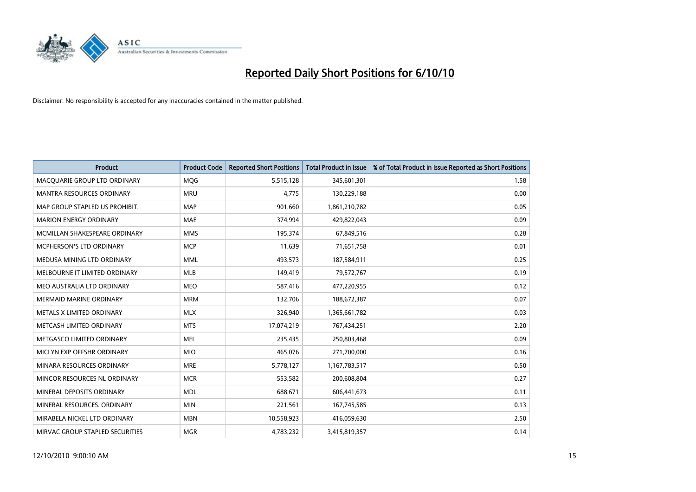

| <b>Product</b>                   | <b>Product Code</b> | <b>Reported Short Positions</b> | Total Product in Issue | % of Total Product in Issue Reported as Short Positions |
|----------------------------------|---------------------|---------------------------------|------------------------|---------------------------------------------------------|
| MACQUARIE GROUP LTD ORDINARY     | <b>MQG</b>          | 5,515,128                       | 345,601,301            | 1.58                                                    |
| <b>MANTRA RESOURCES ORDINARY</b> | <b>MRU</b>          | 4.775                           | 130,229,188            | 0.00                                                    |
| MAP GROUP STAPLED US PROHIBIT.   | <b>MAP</b>          | 901,660                         | 1,861,210,782          | 0.05                                                    |
| <b>MARION ENERGY ORDINARY</b>    | <b>MAE</b>          | 374,994                         | 429,822,043            | 0.09                                                    |
| MCMILLAN SHAKESPEARE ORDINARY    | <b>MMS</b>          | 195,374                         | 67,849,516             | 0.28                                                    |
| <b>MCPHERSON'S LTD ORDINARY</b>  | <b>MCP</b>          | 11,639                          | 71,651,758             | 0.01                                                    |
| MEDUSA MINING LTD ORDINARY       | <b>MML</b>          | 493,573                         | 187,584,911            | 0.25                                                    |
| MELBOURNE IT LIMITED ORDINARY    | <b>MLB</b>          | 149,419                         | 79,572,767             | 0.19                                                    |
| MEO AUSTRALIA LTD ORDINARY       | <b>MEO</b>          | 587,416                         | 477,220,955            | 0.12                                                    |
| <b>MERMAID MARINE ORDINARY</b>   | <b>MRM</b>          | 132,706                         | 188,672,387            | 0.07                                                    |
| METALS X LIMITED ORDINARY        | <b>MLX</b>          | 326,940                         | 1,365,661,782          | 0.03                                                    |
| METCASH LIMITED ORDINARY         | <b>MTS</b>          | 17,074,219                      | 767,434,251            | 2.20                                                    |
| METGASCO LIMITED ORDINARY        | <b>MEL</b>          | 235,435                         | 250,803,468            | 0.09                                                    |
| MICLYN EXP OFFSHR ORDINARY       | <b>MIO</b>          | 465.076                         | 271,700,000            | 0.16                                                    |
| MINARA RESOURCES ORDINARY        | <b>MRE</b>          | 5,778,127                       | 1,167,783,517          | 0.50                                                    |
| MINCOR RESOURCES NL ORDINARY     | <b>MCR</b>          | 553,582                         | 200,608,804            | 0.27                                                    |
| MINERAL DEPOSITS ORDINARY        | <b>MDL</b>          | 688,671                         | 606,441,673            | 0.11                                                    |
| MINERAL RESOURCES. ORDINARY      | <b>MIN</b>          | 221,561                         | 167,745,585            | 0.13                                                    |
| MIRABELA NICKEL LTD ORDINARY     | <b>MBN</b>          | 10,558,923                      | 416,059,630            | 2.50                                                    |
| MIRVAC GROUP STAPLED SECURITIES  | <b>MGR</b>          | 4,783,232                       | 3,415,819,357          | 0.14                                                    |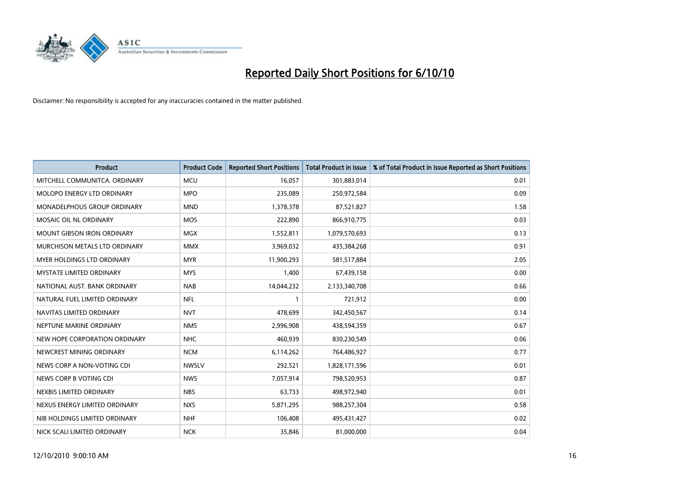

| <b>Product</b>                     | <b>Product Code</b> | <b>Reported Short Positions</b> | <b>Total Product in Issue</b> | % of Total Product in Issue Reported as Short Positions |
|------------------------------------|---------------------|---------------------------------|-------------------------------|---------------------------------------------------------|
| MITCHELL COMMUNITCA, ORDINARY      | <b>MCU</b>          | 16,057                          | 301,883,014                   | 0.01                                                    |
| MOLOPO ENERGY LTD ORDINARY         | <b>MPO</b>          | 235,089                         | 250,972,584                   | 0.09                                                    |
| <b>MONADELPHOUS GROUP ORDINARY</b> | <b>MND</b>          | 1,378,378                       | 87,521,827                    | 1.58                                                    |
| MOSAIC OIL NL ORDINARY             | <b>MOS</b>          | 222,890                         | 866,910,775                   | 0.03                                                    |
| <b>MOUNT GIBSON IRON ORDINARY</b>  | <b>MGX</b>          | 1,552,811                       | 1,079,570,693                 | 0.13                                                    |
| MURCHISON METALS LTD ORDINARY      | <b>MMX</b>          | 3,969,032                       | 435,384,268                   | 0.91                                                    |
| <b>MYER HOLDINGS LTD ORDINARY</b>  | <b>MYR</b>          | 11,900,293                      | 581,517,884                   | 2.05                                                    |
| <b>MYSTATE LIMITED ORDINARY</b>    | <b>MYS</b>          | 1,400                           | 67,439,158                    | 0.00                                                    |
| NATIONAL AUST. BANK ORDINARY       | <b>NAB</b>          | 14,044,232                      | 2,133,340,708                 | 0.66                                                    |
| NATURAL FUEL LIMITED ORDINARY      | <b>NFL</b>          |                                 | 721,912                       | 0.00                                                    |
| NAVITAS LIMITED ORDINARY           | <b>NVT</b>          | 478,699                         | 342,450,567                   | 0.14                                                    |
| NEPTUNE MARINE ORDINARY            | <b>NMS</b>          | 2,996,908                       | 438,594,359                   | 0.67                                                    |
| NEW HOPE CORPORATION ORDINARY      | <b>NHC</b>          | 460,939                         | 830,230,549                   | 0.06                                                    |
| NEWCREST MINING ORDINARY           | <b>NCM</b>          | 6,114,262                       | 764,486,927                   | 0.77                                                    |
| NEWS CORP A NON-VOTING CDI         | <b>NWSLV</b>        | 292,521                         | 1,828,171,596                 | 0.01                                                    |
| NEWS CORP B VOTING CDI             | <b>NWS</b>          | 7,057,914                       | 798,520,953                   | 0.87                                                    |
| NEXBIS LIMITED ORDINARY            | <b>NBS</b>          | 63,733                          | 498,972,940                   | 0.01                                                    |
| NEXUS ENERGY LIMITED ORDINARY      | <b>NXS</b>          | 5,871,295                       | 988,257,304                   | 0.58                                                    |
| NIB HOLDINGS LIMITED ORDINARY      | <b>NHF</b>          | 106,408                         | 495,431,427                   | 0.02                                                    |
| NICK SCALI LIMITED ORDINARY        | <b>NCK</b>          | 35,846                          | 81,000,000                    | 0.04                                                    |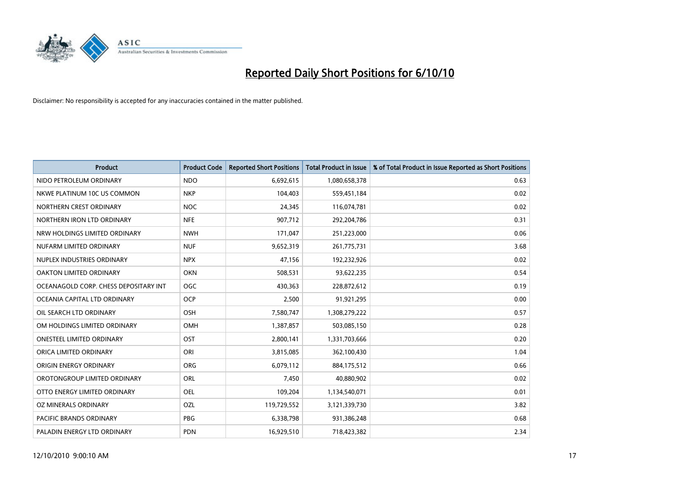

| <b>Product</b>                        | <b>Product Code</b> | <b>Reported Short Positions</b> | <b>Total Product in Issue</b> | % of Total Product in Issue Reported as Short Positions |
|---------------------------------------|---------------------|---------------------------------|-------------------------------|---------------------------------------------------------|
| NIDO PETROLEUM ORDINARY               | <b>NDO</b>          | 6,692,615                       | 1,080,658,378                 | 0.63                                                    |
| NKWE PLATINUM 10C US COMMON           | <b>NKP</b>          | 104,403                         | 559,451,184                   | 0.02                                                    |
| NORTHERN CREST ORDINARY               | <b>NOC</b>          | 24.345                          | 116,074,781                   | 0.02                                                    |
| NORTHERN IRON LTD ORDINARY            | <b>NFE</b>          | 907,712                         | 292,204,786                   | 0.31                                                    |
| NRW HOLDINGS LIMITED ORDINARY         | <b>NWH</b>          | 171,047                         | 251,223,000                   | 0.06                                                    |
| NUFARM LIMITED ORDINARY               | <b>NUF</b>          | 9,652,319                       | 261,775,731                   | 3.68                                                    |
| NUPLEX INDUSTRIES ORDINARY            | <b>NPX</b>          | 47,156                          | 192,232,926                   | 0.02                                                    |
| OAKTON LIMITED ORDINARY               | OKN                 | 508,531                         | 93,622,235                    | 0.54                                                    |
| OCEANAGOLD CORP. CHESS DEPOSITARY INT | OGC                 | 430,363                         | 228,872,612                   | 0.19                                                    |
| OCEANIA CAPITAL LTD ORDINARY          | <b>OCP</b>          | 2,500                           | 91,921,295                    | 0.00                                                    |
| OIL SEARCH LTD ORDINARY               | <b>OSH</b>          | 7,580,747                       | 1,308,279,222                 | 0.57                                                    |
| OM HOLDINGS LIMITED ORDINARY          | <b>OMH</b>          | 1,387,857                       | 503,085,150                   | 0.28                                                    |
| <b>ONESTEEL LIMITED ORDINARY</b>      | OST                 | 2,800,141                       | 1,331,703,666                 | 0.20                                                    |
| ORICA LIMITED ORDINARY                | ORI                 | 3,815,085                       | 362,100,430                   | 1.04                                                    |
| ORIGIN ENERGY ORDINARY                | <b>ORG</b>          | 6,079,112                       | 884,175,512                   | 0.66                                                    |
| OROTONGROUP LIMITED ORDINARY          | ORL                 | 7,450                           | 40,880,902                    | 0.02                                                    |
| OTTO ENERGY LIMITED ORDINARY          | <b>OEL</b>          | 109,204                         | 1,134,540,071                 | 0.01                                                    |
| OZ MINERALS ORDINARY                  | OZL                 | 119,729,552                     | 3,121,339,730                 | 3.82                                                    |
| <b>PACIFIC BRANDS ORDINARY</b>        | PBG                 | 6,338,798                       | 931,386,248                   | 0.68                                                    |
| PALADIN ENERGY LTD ORDINARY           | <b>PDN</b>          | 16.929.510                      | 718,423,382                   | 2.34                                                    |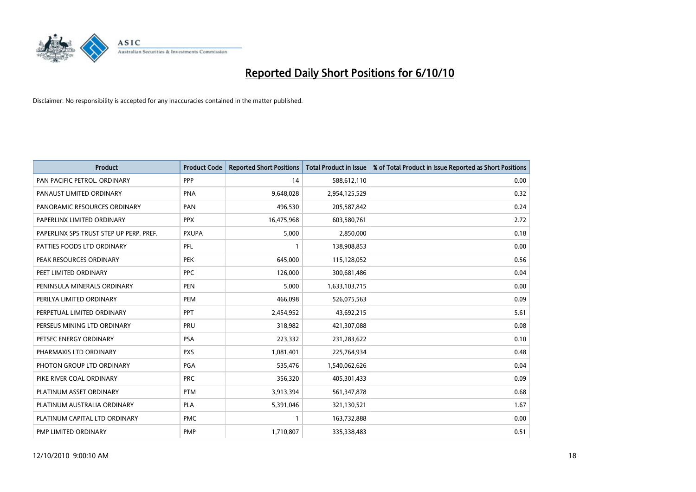

| <b>Product</b>                          | <b>Product Code</b> | <b>Reported Short Positions</b> | <b>Total Product in Issue</b> | % of Total Product in Issue Reported as Short Positions |
|-----------------------------------------|---------------------|---------------------------------|-------------------------------|---------------------------------------------------------|
| PAN PACIFIC PETROL. ORDINARY            | PPP                 | 14                              | 588,612,110                   | 0.00                                                    |
| PANAUST LIMITED ORDINARY                | <b>PNA</b>          | 9,648,028                       | 2,954,125,529                 | 0.32                                                    |
| PANORAMIC RESOURCES ORDINARY            | PAN                 | 496,530                         | 205,587,842                   | 0.24                                                    |
| PAPERLINX LIMITED ORDINARY              | <b>PPX</b>          | 16,475,968                      | 603,580,761                   | 2.72                                                    |
| PAPERLINX SPS TRUST STEP UP PERP. PREF. | <b>PXUPA</b>        | 5,000                           | 2,850,000                     | 0.18                                                    |
| PATTIES FOODS LTD ORDINARY              | PFL                 |                                 | 138,908,853                   | 0.00                                                    |
| PEAK RESOURCES ORDINARY                 | <b>PEK</b>          | 645,000                         | 115,128,052                   | 0.56                                                    |
| PEET LIMITED ORDINARY                   | <b>PPC</b>          | 126,000                         | 300,681,486                   | 0.04                                                    |
| PENINSULA MINERALS ORDINARY             | <b>PEN</b>          | 5,000                           | 1,633,103,715                 | 0.00                                                    |
| PERILYA LIMITED ORDINARY                | PEM                 | 466,098                         | 526,075,563                   | 0.09                                                    |
| PERPETUAL LIMITED ORDINARY              | <b>PPT</b>          | 2,454,952                       | 43,692,215                    | 5.61                                                    |
| PERSEUS MINING LTD ORDINARY             | PRU                 | 318,982                         | 421,307,088                   | 0.08                                                    |
| PETSEC ENERGY ORDINARY                  | <b>PSA</b>          | 223,332                         | 231,283,622                   | 0.10                                                    |
| PHARMAXIS LTD ORDINARY                  | <b>PXS</b>          | 1,081,401                       | 225,764,934                   | 0.48                                                    |
| PHOTON GROUP LTD ORDINARY               | <b>PGA</b>          | 535,476                         | 1,540,062,626                 | 0.04                                                    |
| PIKE RIVER COAL ORDINARY                | <b>PRC</b>          | 356,320                         | 405,301,433                   | 0.09                                                    |
| PLATINUM ASSET ORDINARY                 | <b>PTM</b>          | 3,913,394                       | 561,347,878                   | 0.68                                                    |
| PLATINUM AUSTRALIA ORDINARY             | <b>PLA</b>          | 5,391,046                       | 321,130,521                   | 1.67                                                    |
| PLATINUM CAPITAL LTD ORDINARY           | <b>PMC</b>          |                                 | 163,732,888                   | 0.00                                                    |
| PMP LIMITED ORDINARY                    | <b>PMP</b>          | 1,710,807                       | 335,338,483                   | 0.51                                                    |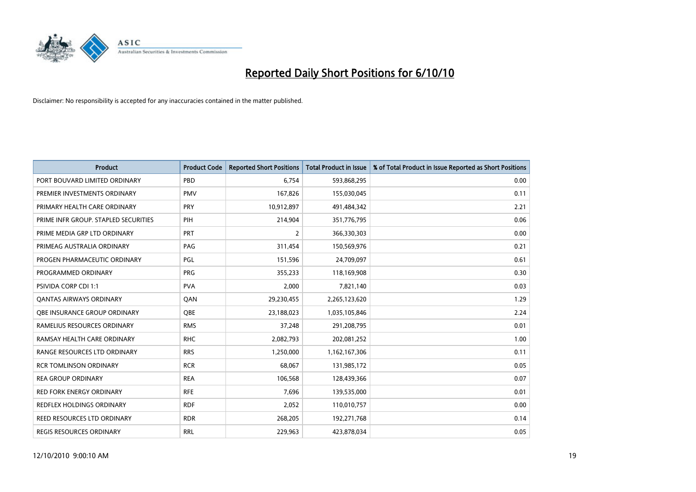

| <b>Product</b>                       | <b>Product Code</b> | <b>Reported Short Positions</b> | <b>Total Product in Issue</b> | % of Total Product in Issue Reported as Short Positions |
|--------------------------------------|---------------------|---------------------------------|-------------------------------|---------------------------------------------------------|
| PORT BOUVARD LIMITED ORDINARY        | PBD                 | 6.754                           | 593,868,295                   | 0.00                                                    |
| PREMIER INVESTMENTS ORDINARY         | <b>PMV</b>          | 167,826                         | 155,030,045                   | 0.11                                                    |
| PRIMARY HEALTH CARE ORDINARY         | <b>PRY</b>          | 10,912,897                      | 491,484,342                   | 2.21                                                    |
| PRIME INFR GROUP. STAPLED SECURITIES | PIH                 | 214,904                         | 351,776,795                   | 0.06                                                    |
| PRIME MEDIA GRP LTD ORDINARY         | <b>PRT</b>          | 2                               | 366,330,303                   | 0.00                                                    |
| PRIMEAG AUSTRALIA ORDINARY           | PAG                 | 311,454                         | 150,569,976                   | 0.21                                                    |
| PROGEN PHARMACEUTIC ORDINARY         | PGL                 | 151,596                         | 24,709,097                    | 0.61                                                    |
| PROGRAMMED ORDINARY                  | <b>PRG</b>          | 355,233                         | 118,169,908                   | 0.30                                                    |
| <b>PSIVIDA CORP CDI 1:1</b>          | <b>PVA</b>          | 2,000                           | 7,821,140                     | 0.03                                                    |
| <b>OANTAS AIRWAYS ORDINARY</b>       | OAN                 | 29,230,455                      | 2,265,123,620                 | 1.29                                                    |
| OBE INSURANCE GROUP ORDINARY         | <b>QBE</b>          | 23,188,023                      | 1,035,105,846                 | 2.24                                                    |
| RAMELIUS RESOURCES ORDINARY          | <b>RMS</b>          | 37,248                          | 291,208,795                   | 0.01                                                    |
| RAMSAY HEALTH CARE ORDINARY          | <b>RHC</b>          | 2,082,793                       | 202,081,252                   | 1.00                                                    |
| RANGE RESOURCES LTD ORDINARY         | <b>RRS</b>          | 1,250,000                       | 1,162,167,306                 | 0.11                                                    |
| <b>RCR TOMLINSON ORDINARY</b>        | <b>RCR</b>          | 68.067                          | 131,985,172                   | 0.05                                                    |
| <b>REA GROUP ORDINARY</b>            | <b>REA</b>          | 106,568                         | 128,439,366                   | 0.07                                                    |
| <b>RED FORK ENERGY ORDINARY</b>      | <b>RFE</b>          | 7,696                           | 139,535,000                   | 0.01                                                    |
| REDFLEX HOLDINGS ORDINARY            | <b>RDF</b>          | 2,052                           | 110,010,757                   | 0.00                                                    |
| REED RESOURCES LTD ORDINARY          | <b>RDR</b>          | 268,205                         | 192,271,768                   | 0.14                                                    |
| REGIS RESOURCES ORDINARY             | <b>RRL</b>          | 229,963                         | 423,878,034                   | 0.05                                                    |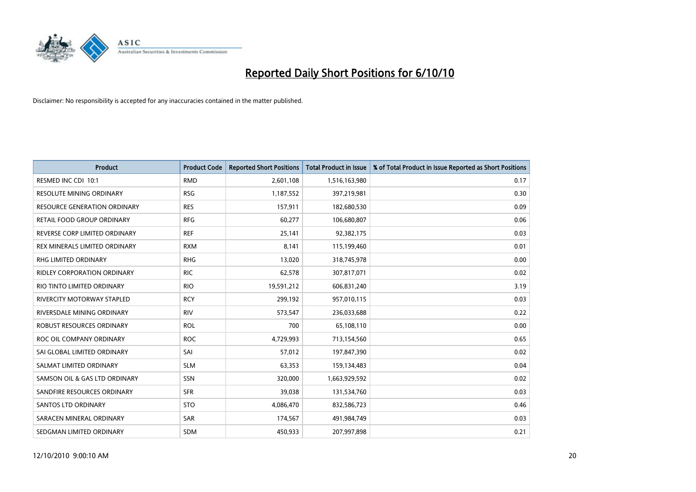

| <b>Product</b>                      | <b>Product Code</b> | <b>Reported Short Positions</b> | Total Product in Issue | % of Total Product in Issue Reported as Short Positions |
|-------------------------------------|---------------------|---------------------------------|------------------------|---------------------------------------------------------|
| RESMED INC CDI 10:1                 | <b>RMD</b>          | 2,601,108                       | 1,516,163,980          | 0.17                                                    |
| <b>RESOLUTE MINING ORDINARY</b>     | <b>RSG</b>          | 1,187,552                       | 397,219,981            | 0.30                                                    |
| <b>RESOURCE GENERATION ORDINARY</b> | <b>RES</b>          | 157,911                         | 182,680,530            | 0.09                                                    |
| RETAIL FOOD GROUP ORDINARY          | <b>RFG</b>          | 60,277                          | 106,680,807            | 0.06                                                    |
| REVERSE CORP LIMITED ORDINARY       | <b>REF</b>          | 25,141                          | 92,382,175             | 0.03                                                    |
| REX MINERALS LIMITED ORDINARY       | <b>RXM</b>          | 8,141                           | 115,199,460            | 0.01                                                    |
| <b>RHG LIMITED ORDINARY</b>         | <b>RHG</b>          | 13,020                          | 318,745,978            | 0.00                                                    |
| <b>RIDLEY CORPORATION ORDINARY</b>  | <b>RIC</b>          | 62,578                          | 307,817,071            | 0.02                                                    |
| RIO TINTO LIMITED ORDINARY          | <b>RIO</b>          | 19,591,212                      | 606,831,240            | 3.19                                                    |
| <b>RIVERCITY MOTORWAY STAPLED</b>   | <b>RCY</b>          | 299,192                         | 957,010,115            | 0.03                                                    |
| RIVERSDALE MINING ORDINARY          | <b>RIV</b>          | 573,547                         | 236,033,688            | 0.22                                                    |
| ROBUST RESOURCES ORDINARY           | <b>ROL</b>          | 700                             | 65,108,110             | 0.00                                                    |
| ROC OIL COMPANY ORDINARY            | <b>ROC</b>          | 4,729,993                       | 713,154,560            | 0.65                                                    |
| SAI GLOBAL LIMITED ORDINARY         | SAI                 | 57,012                          | 197,847,390            | 0.02                                                    |
| SALMAT LIMITED ORDINARY             | <b>SLM</b>          | 63,353                          | 159,134,483            | 0.04                                                    |
| SAMSON OIL & GAS LTD ORDINARY       | SSN                 | 320,000                         | 1,663,929,592          | 0.02                                                    |
| SANDFIRE RESOURCES ORDINARY         | <b>SFR</b>          | 39,038                          | 131,534,760            | 0.03                                                    |
| <b>SANTOS LTD ORDINARY</b>          | <b>STO</b>          | 4,086,470                       | 832,586,723            | 0.46                                                    |
| SARACEN MINERAL ORDINARY            | SAR                 | 174,567                         | 491,984,749            | 0.03                                                    |
| SEDGMAN LIMITED ORDINARY            | <b>SDM</b>          | 450,933                         | 207,997,898            | 0.21                                                    |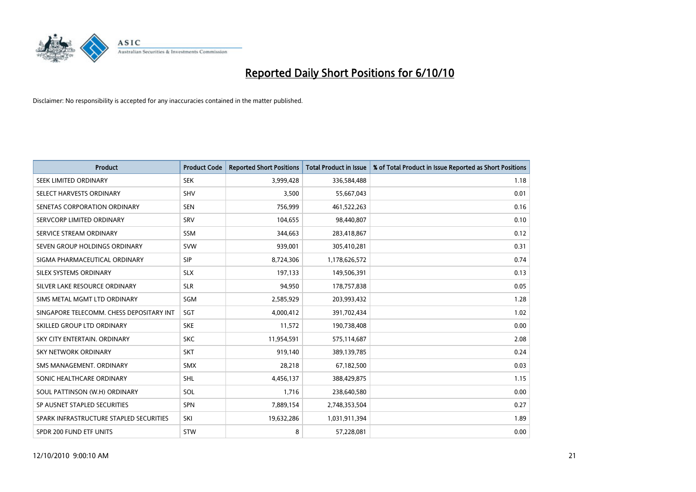

| <b>Product</b>                           | <b>Product Code</b> | <b>Reported Short Positions</b> | <b>Total Product in Issue</b> | % of Total Product in Issue Reported as Short Positions |
|------------------------------------------|---------------------|---------------------------------|-------------------------------|---------------------------------------------------------|
| <b>SEEK LIMITED ORDINARY</b>             | <b>SEK</b>          | 3,999,428                       | 336,584,488                   | 1.18                                                    |
| SELECT HARVESTS ORDINARY                 | SHV                 | 3,500                           | 55,667,043                    | 0.01                                                    |
| SENETAS CORPORATION ORDINARY             | <b>SEN</b>          | 756,999                         | 461,522,263                   | 0.16                                                    |
| SERVCORP LIMITED ORDINARY                | SRV                 | 104,655                         | 98,440,807                    | 0.10                                                    |
| SERVICE STREAM ORDINARY                  | <b>SSM</b>          | 344,663                         | 283,418,867                   | 0.12                                                    |
| SEVEN GROUP HOLDINGS ORDINARY            | <b>SVW</b>          | 939,001                         | 305,410,281                   | 0.31                                                    |
| SIGMA PHARMACEUTICAL ORDINARY            | <b>SIP</b>          | 8,724,306                       | 1,178,626,572                 | 0.74                                                    |
| SILEX SYSTEMS ORDINARY                   | <b>SLX</b>          | 197,133                         | 149,506,391                   | 0.13                                                    |
| SILVER LAKE RESOURCE ORDINARY            | <b>SLR</b>          | 94,950                          | 178,757,838                   | 0.05                                                    |
| SIMS METAL MGMT LTD ORDINARY             | SGM                 | 2,585,929                       | 203,993,432                   | 1.28                                                    |
| SINGAPORE TELECOMM. CHESS DEPOSITARY INT | SGT                 | 4,000,412                       | 391,702,434                   | 1.02                                                    |
| SKILLED GROUP LTD ORDINARY               | <b>SKE</b>          | 11,572                          | 190,738,408                   | 0.00                                                    |
| SKY CITY ENTERTAIN, ORDINARY             | <b>SKC</b>          | 11,954,591                      | 575,114,687                   | 2.08                                                    |
| <b>SKY NETWORK ORDINARY</b>              | <b>SKT</b>          | 919,140                         | 389,139,785                   | 0.24                                                    |
| SMS MANAGEMENT, ORDINARY                 | <b>SMX</b>          | 28,218                          | 67,182,500                    | 0.03                                                    |
| SONIC HEALTHCARE ORDINARY                | <b>SHL</b>          | 4,456,137                       | 388,429,875                   | 1.15                                                    |
| SOUL PATTINSON (W.H) ORDINARY            | SOL                 | 1,716                           | 238,640,580                   | 0.00                                                    |
| SP AUSNET STAPLED SECURITIES             | SPN                 | 7,889,154                       | 2,748,353,504                 | 0.27                                                    |
| SPARK INFRASTRUCTURE STAPLED SECURITIES  | SKI                 | 19,632,286                      | 1,031,911,394                 | 1.89                                                    |
| SPDR 200 FUND ETF UNITS                  | STW                 | 8                               | 57,228,081                    | 0.00                                                    |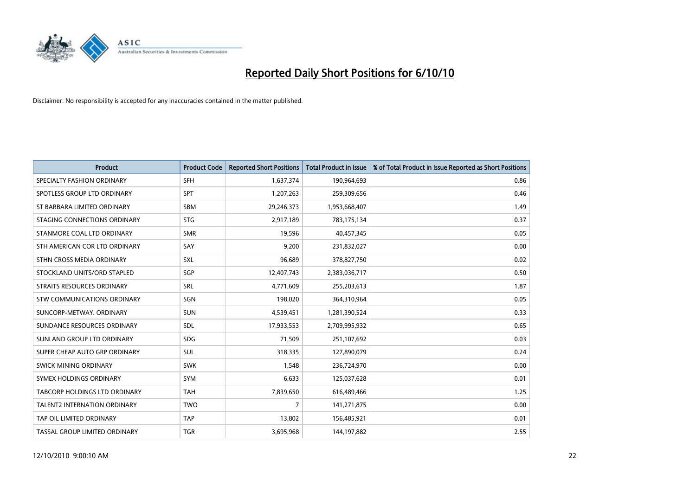

| <b>Product</b>                | <b>Product Code</b> | <b>Reported Short Positions</b> | <b>Total Product in Issue</b> | % of Total Product in Issue Reported as Short Positions |
|-------------------------------|---------------------|---------------------------------|-------------------------------|---------------------------------------------------------|
| SPECIALTY FASHION ORDINARY    | <b>SFH</b>          | 1,637,374                       | 190,964,693                   | 0.86                                                    |
| SPOTLESS GROUP LTD ORDINARY   | <b>SPT</b>          | 1,207,263                       | 259,309,656                   | 0.46                                                    |
| ST BARBARA LIMITED ORDINARY   | <b>SBM</b>          | 29,246,373                      | 1,953,668,407                 | 1.49                                                    |
| STAGING CONNECTIONS ORDINARY  | <b>STG</b>          | 2,917,189                       | 783,175,134                   | 0.37                                                    |
| STANMORE COAL LTD ORDINARY    | <b>SMR</b>          | 19,596                          | 40,457,345                    | 0.05                                                    |
| STH AMERICAN COR LTD ORDINARY | SAY                 | 9,200                           | 231,832,027                   | 0.00                                                    |
| STHN CROSS MEDIA ORDINARY     | <b>SXL</b>          | 96,689                          | 378,827,750                   | 0.02                                                    |
| STOCKLAND UNITS/ORD STAPLED   | SGP                 | 12,407,743                      | 2,383,036,717                 | 0.50                                                    |
| STRAITS RESOURCES ORDINARY    | SRL                 | 4,771,609                       | 255,203,613                   | 1.87                                                    |
| STW COMMUNICATIONS ORDINARY   | SGN                 | 198,020                         | 364,310,964                   | 0.05                                                    |
| SUNCORP-METWAY, ORDINARY      | <b>SUN</b>          | 4,539,451                       | 1,281,390,524                 | 0.33                                                    |
| SUNDANCE RESOURCES ORDINARY   | SDL                 | 17,933,553                      | 2,709,995,932                 | 0.65                                                    |
| SUNLAND GROUP LTD ORDINARY    | <b>SDG</b>          | 71,509                          | 251,107,692                   | 0.03                                                    |
| SUPER CHEAP AUTO GRP ORDINARY | SUL                 | 318,335                         | 127,890,079                   | 0.24                                                    |
| <b>SWICK MINING ORDINARY</b>  | <b>SWK</b>          | 1.548                           | 236,724,970                   | 0.00                                                    |
| SYMEX HOLDINGS ORDINARY       | <b>SYM</b>          | 6,633                           | 125,037,628                   | 0.01                                                    |
| TABCORP HOLDINGS LTD ORDINARY | <b>TAH</b>          | 7,839,650                       | 616,489,466                   | 1.25                                                    |
| TALENT2 INTERNATION ORDINARY  | <b>TWO</b>          | $\overline{7}$                  | 141,271,875                   | 0.00                                                    |
| TAP OIL LIMITED ORDINARY      | <b>TAP</b>          | 13,802                          | 156,485,921                   | 0.01                                                    |
| TASSAL GROUP LIMITED ORDINARY | <b>TGR</b>          | 3,695,968                       | 144,197,882                   | 2.55                                                    |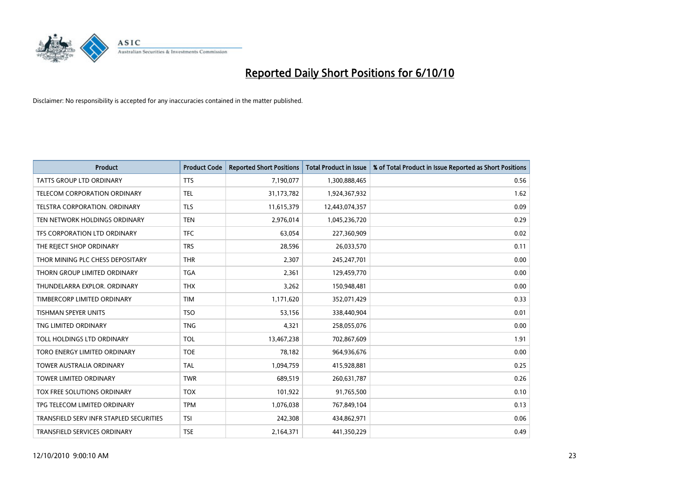

| <b>Product</b>                          | <b>Product Code</b> | <b>Reported Short Positions</b> | Total Product in Issue | % of Total Product in Issue Reported as Short Positions |
|-----------------------------------------|---------------------|---------------------------------|------------------------|---------------------------------------------------------|
| <b>TATTS GROUP LTD ORDINARY</b>         | <b>TTS</b>          | 7,190,077                       | 1,300,888,465          | 0.56                                                    |
| TELECOM CORPORATION ORDINARY            | <b>TEL</b>          | 31,173,782                      | 1,924,367,932          | 1.62                                                    |
| <b>TELSTRA CORPORATION, ORDINARY</b>    | <b>TLS</b>          | 11,615,379                      | 12,443,074,357         | 0.09                                                    |
| TEN NETWORK HOLDINGS ORDINARY           | <b>TEN</b>          | 2,976,014                       | 1,045,236,720          | 0.29                                                    |
| TFS CORPORATION LTD ORDINARY            | <b>TFC</b>          | 63,054                          | 227,360,909            | 0.02                                                    |
| THE REJECT SHOP ORDINARY                | <b>TRS</b>          | 28,596                          | 26,033,570             | 0.11                                                    |
| THOR MINING PLC CHESS DEPOSITARY        | <b>THR</b>          | 2,307                           | 245,247,701            | 0.00                                                    |
| THORN GROUP LIMITED ORDINARY            | <b>TGA</b>          | 2,361                           | 129,459,770            | 0.00                                                    |
| THUNDELARRA EXPLOR. ORDINARY            | <b>THX</b>          | 3,262                           | 150,948,481            | 0.00                                                    |
| TIMBERCORP LIMITED ORDINARY             | <b>TIM</b>          | 1,171,620                       | 352,071,429            | 0.33                                                    |
| <b>TISHMAN SPEYER UNITS</b>             | <b>TSO</b>          | 53,156                          | 338,440,904            | 0.01                                                    |
| TNG LIMITED ORDINARY                    | <b>TNG</b>          | 4,321                           | 258,055,076            | 0.00                                                    |
| TOLL HOLDINGS LTD ORDINARY              | <b>TOL</b>          | 13,467,238                      | 702,867,609            | 1.91                                                    |
| TORO ENERGY LIMITED ORDINARY            | <b>TOE</b>          | 78,182                          | 964,936,676            | 0.00                                                    |
| <b>TOWER AUSTRALIA ORDINARY</b>         | <b>TAL</b>          | 1,094,759                       | 415,928,881            | 0.25                                                    |
| <b>TOWER LIMITED ORDINARY</b>           | <b>TWR</b>          | 689,519                         | 260,631,787            | 0.26                                                    |
| <b>TOX FREE SOLUTIONS ORDINARY</b>      | <b>TOX</b>          | 101,922                         | 91,765,500             | 0.10                                                    |
| TPG TELECOM LIMITED ORDINARY            | <b>TPM</b>          | 1,076,038                       | 767,849,104            | 0.13                                                    |
| TRANSFIELD SERV INFR STAPLED SECURITIES | <b>TSI</b>          | 242,308                         | 434,862,971            | 0.06                                                    |
| TRANSFIELD SERVICES ORDINARY            | <b>TSE</b>          | 2,164,371                       | 441,350,229            | 0.49                                                    |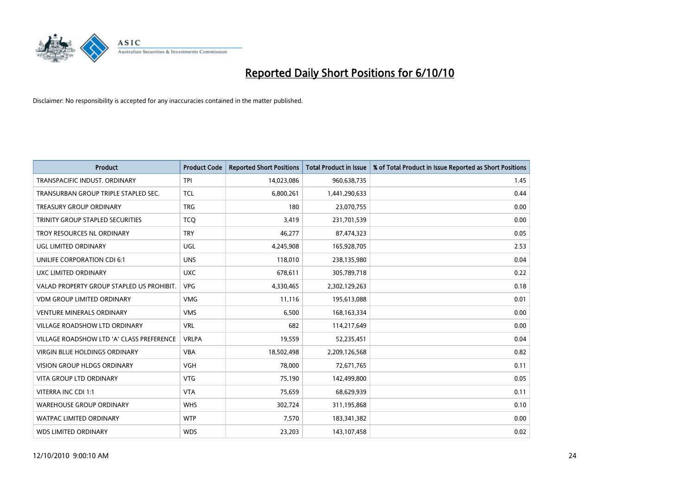

| <b>Product</b>                            | <b>Product Code</b> | <b>Reported Short Positions</b> | <b>Total Product in Issue</b> | % of Total Product in Issue Reported as Short Positions |
|-------------------------------------------|---------------------|---------------------------------|-------------------------------|---------------------------------------------------------|
| TRANSPACIFIC INDUST, ORDINARY             | <b>TPI</b>          | 14,023,086                      | 960,638,735                   | 1.45                                                    |
| TRANSURBAN GROUP TRIPLE STAPLED SEC.      | <b>TCL</b>          | 6,800,261                       | 1,441,290,633                 | 0.44                                                    |
| <b>TREASURY GROUP ORDINARY</b>            | <b>TRG</b>          | 180                             | 23,070,755                    | 0.00                                                    |
| TRINITY GROUP STAPLED SECURITIES          | <b>TCQ</b>          | 3,419                           | 231,701,539                   | 0.00                                                    |
| TROY RESOURCES NL ORDINARY                | <b>TRY</b>          | 46,277                          | 87,474,323                    | 0.05                                                    |
| UGL LIMITED ORDINARY                      | <b>UGL</b>          | 4,245,908                       | 165,928,705                   | 2.53                                                    |
| UNILIFE CORPORATION CDI 6:1               | <b>UNS</b>          | 118,010                         | 238,135,980                   | 0.04                                                    |
| UXC LIMITED ORDINARY                      | <b>UXC</b>          | 678,611                         | 305,789,718                   | 0.22                                                    |
| VALAD PROPERTY GROUP STAPLED US PROHIBIT. | <b>VPG</b>          | 4,330,465                       | 2,302,129,263                 | 0.18                                                    |
| <b>VDM GROUP LIMITED ORDINARY</b>         | <b>VMG</b>          | 11,116                          | 195,613,088                   | 0.01                                                    |
| <b>VENTURE MINERALS ORDINARY</b>          | <b>VMS</b>          | 6,500                           | 168, 163, 334                 | 0.00                                                    |
| <b>VILLAGE ROADSHOW LTD ORDINARY</b>      | <b>VRL</b>          | 682                             | 114,217,649                   | 0.00                                                    |
| VILLAGE ROADSHOW LTD 'A' CLASS PREFERENCE | <b>VRLPA</b>        | 19,559                          | 52,235,451                    | 0.04                                                    |
| <b>VIRGIN BLUE HOLDINGS ORDINARY</b>      | <b>VBA</b>          | 18,502,498                      | 2,209,126,568                 | 0.82                                                    |
| <b>VISION GROUP HLDGS ORDINARY</b>        | <b>VGH</b>          | 78,000                          | 72,671,765                    | 0.11                                                    |
| <b>VITA GROUP LTD ORDINARY</b>            | <b>VTG</b>          | 75,190                          | 142,499,800                   | 0.05                                                    |
| VITERRA INC CDI 1:1                       | <b>VTA</b>          | 75,659                          | 68,629,939                    | 0.11                                                    |
| <b>WAREHOUSE GROUP ORDINARY</b>           | <b>WHS</b>          | 302,724                         | 311,195,868                   | 0.10                                                    |
| <b>WATPAC LIMITED ORDINARY</b>            | <b>WTP</b>          | 7,570                           | 183,341,382                   | 0.00                                                    |
| <b>WDS LIMITED ORDINARY</b>               | <b>WDS</b>          | 23,203                          | 143,107,458                   | 0.02                                                    |